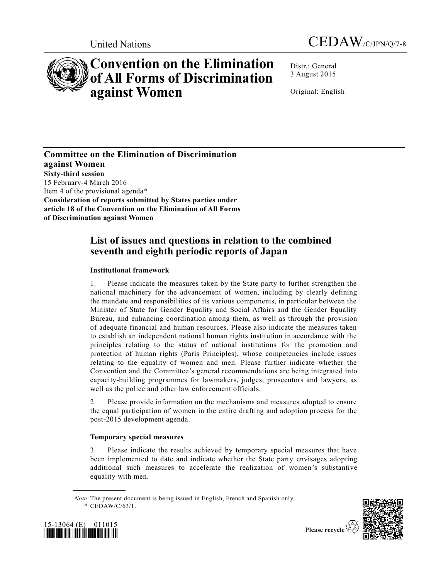



# **Convention on the Elimination of All Forms of Discrimination against Women**

Distr.: General 3 August 2015

Original: English

**Committee on the Elimination of Discrimination against Women Sixty-third session**  15 February-4 March 2016 Item 4 of the provisional agenda\* **Consideration of reports submitted by States parties under article 18 of the Convention on the Elimination of All Forms of Discrimination against Women** 

# **List of issues and questions in relation to the combined seventh and eighth periodic reports of Japan**

## **Institutional framework**

1. Please indicate the measures taken by the State party to further strengthen the national machinery for the advancement of women, including by clearly defining the mandate and responsibilities of its various components, in particular between the Minister of State for Gender Equality and Social Affairs and the Gender Equality Bureau, and enhancing coordination among them, as well as through the provision of adequate financial and human resources. Please also indicate the measures taken to establish an independent national human rights institution in accordance with the principles relating to the status of national institutions for the promotion and protection of human rights (Paris Principles), whose competencies include issues relating to the equality of women and men. Please further indicate whether the Convention and the Committee's general recommendations are being integrated into capacity-building programmes for lawmakers, judges, prosecutors and lawyers, as well as the police and other law enforcement officials.

2. Please provide information on the mechanisms and measures adopted to ensure the equal participation of women in the entire drafting and adoption process for the post-2015 development agenda.

## **Temporary special measures**

3. Please indicate the results achieved by temporary special measures that have been implemented to date and indicate whether the State party envisages adopting additional such measures to accelerate the realization of women's substantive equality with men.

*Note*: The present document is being issued in English, French and Spanish only. \* [CEDAW/C/63/1.](http://undocs.org/CEDAW/C/63/1)





**\_\_\_\_\_\_\_\_\_\_\_\_\_\_\_\_\_\_**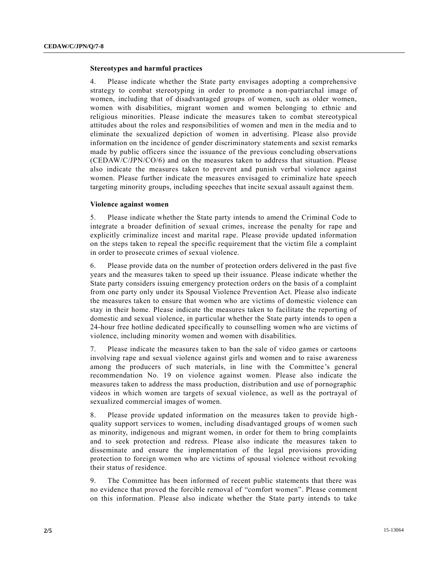#### **Stereotypes and harmful practices**

4. Please indicate whether the State party envisages adopting a comprehensive strategy to combat stereotyping in order to promote a non-patriarchal image of women, including that of disadvantaged groups of women, such as older women, women with disabilities, migrant women and women belonging to ethnic and religious minorities. Please indicate the measures taken to combat stereotypical attitudes about the roles and responsibilities of women and men in the media and to eliminate the sexualized depiction of women in advertising. Please also provide information on the incidence of gender discriminatory statements and sexist remarks made by public officers since the issuance of the previous concluding observations [\(CEDAW/C/JPN/CO/6\)](http://undocs.org/CEDAW/C/JPN/CO/6) and on the measures taken to address that situation. Please also indicate the measures taken to prevent and punish verbal violence against women. Please further indicate the measures envisaged to criminalize hate speech targeting minority groups, including speeches that incite sexual assault against them.

#### **Violence against women**

5. Please indicate whether the State party intends to amend the Criminal Code to integrate a broader definition of sexual crimes, increase the penalty for rape and explicitly criminalize incest and marital rape. Please provide updated information on the steps taken to repeal the specific requirement that the victim file a complaint in order to prosecute crimes of sexual violence.

6. Please provide data on the number of protection orders delivered in the past five years and the measures taken to speed up their issuance. Please indicate whether the State party considers issuing emergency protection orders on the basis of a complaint from one party only under its Spousal Violence Prevention Act. Please also indicate the measures taken to ensure that women who are victims of domestic violence can stay in their home. Please indicate the measures taken to facilitate the reporting of domestic and sexual violence, in particular whether the State party intends to open a 24-hour free hotline dedicated specifically to counselling women who are victims of violence, including minority women and women with disabilities.

7. Please indicate the measures taken to ban the sale of video games or cartoons involving rape and sexual violence against girls and women and to raise awareness among the producers of such materials, in line with the Committee 's general recommendation No. 19 on violence against women. Please also indicate the measures taken to address the mass production, distribution and use of pornographic videos in which women are targets of sexual violence, as well as the portrayal of sexualized commercial images of women.

8. Please provide updated information on the measures taken to provide high quality support services to women, including disadvantaged groups of women such as minority, indigenous and migrant women, in order for them to bring complaints and to seek protection and redress. Please also indicate the measures taken to disseminate and ensure the implementation of the legal provisions providing protection to foreign women who are victims of spousal violence without revoking their status of residence.

9. The Committee has been informed of recent public statements that there was no evidence that proved the forcible removal of "comfort women". Please comment on this information. Please also indicate whether the State party intends to take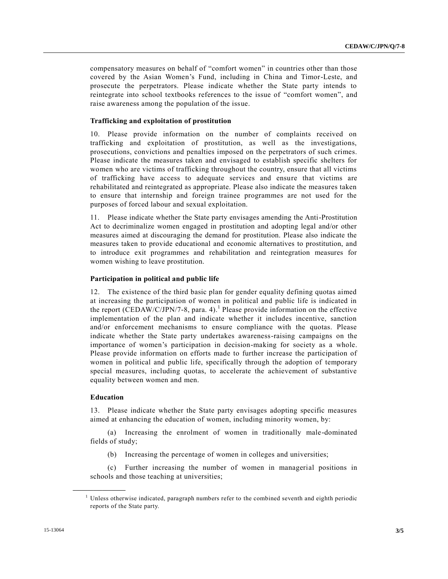compensatory measures on behalf of "comfort women" in countries other than those covered by the Asian Women's Fund, including in China and Timor-Leste, and prosecute the perpetrators. Please indicate whether the State party intends to reintegrate into school textbooks references to the issue of "comfort women", and raise awareness among the population of the issue.

#### **Trafficking and exploitation of prostitution**

10. Please provide information on the number of complaints received on trafficking and exploitation of prostitution, as well as the investigations, prosecutions, convictions and penalties imposed on the perpetrators of such crimes. Please indicate the measures taken and envisaged to establish specific shelters for women who are victims of trafficking throughout the country, ensure that all victims of trafficking have access to adequate services and ensure that victims are rehabilitated and reintegrated as appropriate. Please also indicate the measures taken to ensure that internship and foreign trainee programmes are not used for the purposes of forced labour and sexual exploitation.

11. Please indicate whether the State party envisages amending the Anti-Prostitution Act to decriminalize women engaged in prostitution and adopting legal and/or other measures aimed at discouraging the demand for prostitution. Please also indicate the measures taken to provide educational and economic alternatives to prostitution, and to introduce exit programmes and rehabilitation and reintegration measures for women wishing to leave prostitution.

#### **Participation in political and public life**

12. The existence of the third basic plan for gender equality defining quotas aimed at increasing the participation of women in political and public life is indicated in the report [\(CEDAW/C/JPN/7-8,](http://undocs.org/CEDAW/C/JPN/7) para. 4).<sup>1</sup> Please provide information on the effective implementation of the plan and indicate whether it includes incentive, sanction and/or enforcement mechanisms to ensure compliance with the quotas. Please indicate whether the State party undertakes awareness-raising campaigns on the importance of women's participation in decision-making for society as a whole. Please provide information on efforts made to further increase the participation of women in political and public life, specifically through the adoption of temporary special measures, including quotas, to accelerate the achievement of substantive equality between women and men.

#### **Education**

**\_\_\_\_\_\_\_\_\_\_\_\_\_\_\_\_\_\_**

13. Please indicate whether the State party envisages adopting specific measures aimed at enhancing the education of women, including minority women, by:

(a) Increasing the enrolment of women in traditionally male-dominated fields of study;

(b) Increasing the percentage of women in colleges and universities;

(c) Further increasing the number of women in managerial positions in schools and those teaching at universities;

<sup>&</sup>lt;sup>1</sup> Unless otherwise indicated, paragraph numbers refer to the combined seventh and eighth periodic reports of the State party.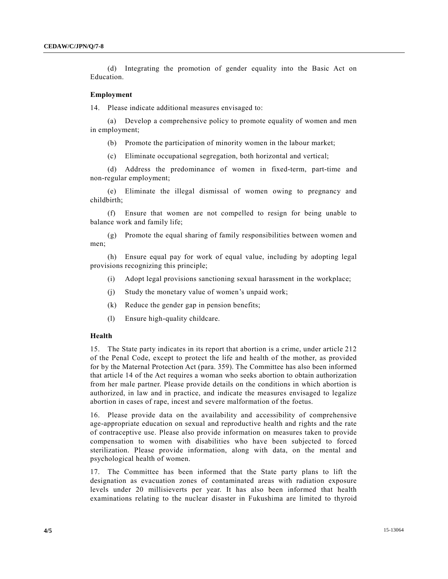(d) Integrating the promotion of gender equality into the Basic Act on Education.

#### **Employment**

14. Please indicate additional measures envisaged to:

(a) Develop a comprehensive policy to promote equality of women and men in employment;

(b) Promote the participation of minority women in the labour market;

(c) Eliminate occupational segregation, both horizontal and vertical;

(d) Address the predominance of women in fixed-term, part-time and non-regular employment;

(e) Eliminate the illegal dismissal of women owing to pregnancy and childbirth;

(f) Ensure that women are not compelled to resign for being unable to balance work and family life;

(g) Promote the equal sharing of family responsibilities between women and men;

(h) Ensure equal pay for work of equal value, including by adopting legal provisions recognizing this principle;

- (i) Adopt legal provisions sanctioning sexual harassment in the workplace;
- (j) Study the monetary value of women's unpaid work;
- (k) Reduce the gender gap in pension benefits;
- (l) Ensure high-quality childcare.

#### **Health**

15. The State party indicates in its report that abortion is a crime, under article 212 of the Penal Code, except to protect the life and health of the mother, as provided for by the Maternal Protection Act (para. 359). The Committee has also been informed that article 14 of the Act requires a woman who seeks abortion to obtain authorization from her male partner. Please provide details on the conditions in which abortion is authorized, in law and in practice, and indicate the measures envisaged to legalize abortion in cases of rape, incest and severe malformation of the foetus.

16. Please provide data on the availability and accessibility of comprehensive age-appropriate education on sexual and reproductive health and rights and the rate of contraceptive use. Please also provide information on measures taken to provide compensation to women with disabilities who have been subjected to forced sterilization. Please provide information, along with data, on the mental and psychological health of women.

17. The Committee has been informed that the State party plans to lift the designation as evacuation zones of contaminated areas with radiation exposure levels under 20 millisieverts per year. It has also been informed that health examinations relating to the nuclear disaster in Fukushima are limited to thyroid